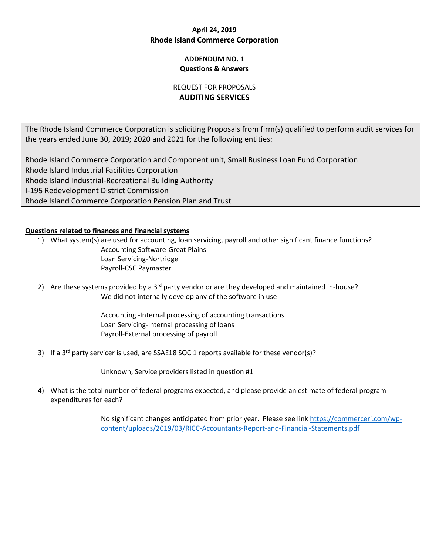# **April 24, 2019 Rhode Island Commerce Corporation**

## **ADDENDUM NO. 1 Questions & Answers**

## REQUEST FOR PROPOSALS **AUDITING SERVICES**

The Rhode Island Commerce Corporation is soliciting Proposals from firm(s) qualified to perform audit services for the years ended June 30, 2019; 2020 and 2021 for the following entities:

Rhode Island Commerce Corporation and Component unit, Small Business Loan Fund Corporation Rhode Island Industrial Facilities Corporation Rhode Island Industrial-Recreational Building Authority I-195 Redevelopment District Commission Rhode Island Commerce Corporation Pension Plan and Trust

## **Questions related to finances and financial systems**

1) What system(s) are used for accounting, loan servicing, payroll and other significant finance functions? Accounting Software-Great Plains Loan Servicing-Nortridge Payroll-CSC Paymaster

2) Are these systems provided by a  $3^{rd}$  party vendor or are they developed and maintained in-house? We did not internally develop any of the software in use

> Accounting -Internal processing of accounting transactions Loan Servicing-Internal processing of loans Payroll-External processing of payroll

3) If a 3<sup>rd</sup> party servicer is used, are SSAE18 SOC 1 reports available for these vendor(s)?

Unknown, Service providers listed in question #1

4) What is the total number of federal programs expected, and please provide an estimate of federal program expenditures for each?

> No significant changes anticipated from prior year. Please see link [https://commerceri.com/wp](https://commerceri.com/wp-content/uploads/2019/03/RICC-Accountants-Report-and-Financial-Statements.pdf)[content/uploads/2019/03/RICC-Accountants-Report-and-Financial-Statements.pdf](https://commerceri.com/wp-content/uploads/2019/03/RICC-Accountants-Report-and-Financial-Statements.pdf)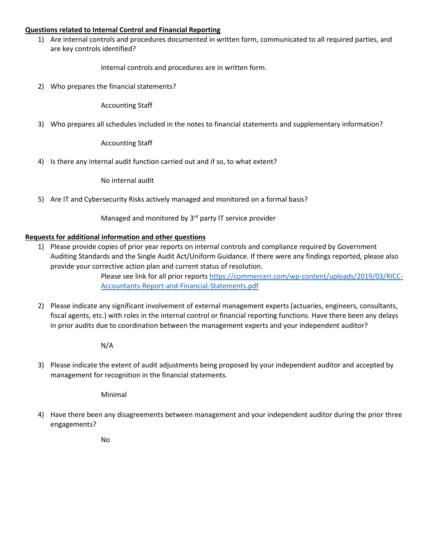#### **Questions related to Internal Control and Financial Reporting**

1) Are internal controls and procedures documented in written form, communicated to all required parties, and are key controls identified?

Internal controls and procedures are in written form.

2) Who prepares the financial statements?

Accounting Staff

3) Who prepares all schedules included in the notes to financial statements and supplementary information?

Accounting Staff

4) Is there any internal audit function carried out and if so, to what extent?

No internal audit

5) Are IT and Cybersecurity Risks actively managed and monitored on a formal basis?

Managed and monitored by 3<sup>rd</sup> party IT service provider

#### **Requests for additional information and other questions**

1) Please provide copies of prior year reports on internal controls and compliance required by Government Auditing Standards and the Single Audit Act/Uniform Guidance. If there were any findings reported, please also provide your corrective action plan and current status of resolution.

> Please see link for all prior reports [https://commerceri.com/wp-content/uploads/2019/03/RICC-](https://commerceri.com/wp-content/uploads/2019/03/RICC-Accountants-Report-and-Financial-Statements.pdf)[Accountants-Report-and-Financial-Statements.pdf](https://commerceri.com/wp-content/uploads/2019/03/RICC-Accountants-Report-and-Financial-Statements.pdf)

2) Please indicate any significant involvement of external management experts (actuaries, engineers, consultants, fiscal agents, etc.) with roles in the internal control or financial reporting functions. Have there been any delays in prior audits due to coordination between the management experts and your independent auditor?

N/A

3) Please indicate the extent of audit adjustments being proposed by your independent auditor and accepted by management for recognition in the financial statements.

Minimal

4) Have there been any disagreements between management and your independent auditor during the prior three engagements?

No